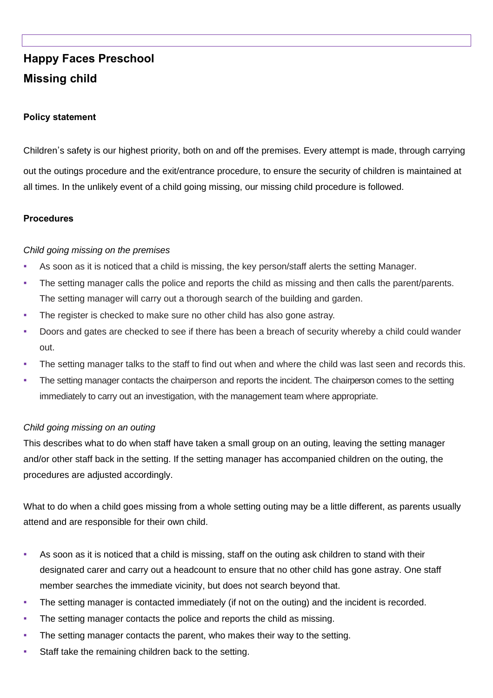# **Happy Faces Preschool Missing child**

### **Policy statement**

Children's safety is our highest priority, both on and off the premises. Every attempt is made, through carrying

out the outings procedure and the exit/entrance procedure, to ensure the security of children is maintained at all times. In the unlikely event of a child going missing, our missing child procedure is followed.

#### **Procedures**

#### *Child going missing on the premises*

- As soon as it is noticed that a child is missing, the key person/staff alerts the setting Manager.
- The setting manager calls the police and reports the child as missing and then calls the parent/parents. The setting manager will carry out a thorough search of the building and garden.
- The register is checked to make sure no other child has also gone astray.
- Doors and gates are checked to see if there has been a breach of security whereby a child could wander out.
- The setting manager talks to the staff to find out when and where the child was last seen and records this.
- The setting manager contacts the chairperson and reports the incident. The chairperson comes to the setting immediately to carry out an investigation, with the management team where appropriate.

#### *Child going missing on an outing*

This describes what to do when staff have taken a small group on an outing, leaving the setting manager and/or other staff back in the setting. If the setting manager has accompanied children on the outing, the procedures are adjusted accordingly.

What to do when a child goes missing from a whole setting outing may be a little different, as parents usually attend and are responsible for their own child.

- As soon as it is noticed that a child is missing, staff on the outing ask children to stand with their designated carer and carry out a headcount to ensure that no other child has gone astray. One staff member searches the immediate vicinity, but does not search beyond that.
- The setting manager is contacted immediately (if not on the outing) and the incident is recorded.
- The setting manager contacts the police and reports the child as missing.
- The setting manager contacts the parent, who makes their way to the setting.
- Staff take the remaining children back to the setting.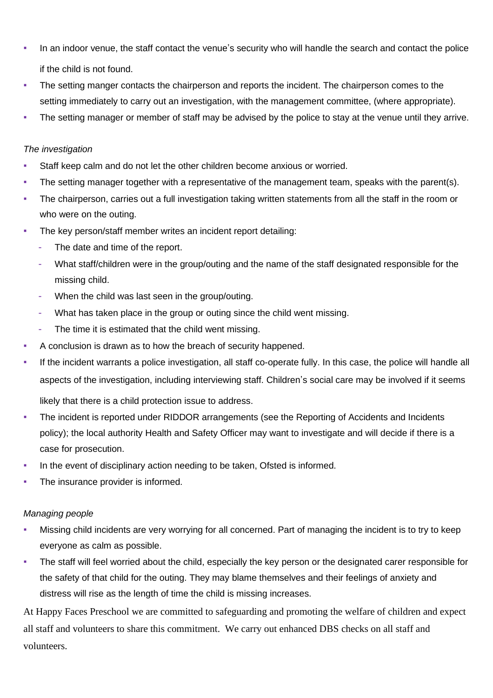- In an indoor venue, the staff contact the venue's security who will handle the search and contact the police if the child is not found.
- The setting manger contacts the chairperson and reports the incident. The chairperson comes to the setting immediately to carry out an investigation, with the management committee, (where appropriate).
- The setting manager or member of staff may be advised by the police to stay at the venue until they arrive.

# *The investigation*

- Staff keep calm and do not let the other children become anxious or worried.
- The setting manager together with a representative of the management team, speaks with the parent(s).
- The chairperson, carries out a full investigation taking written statements from all the staff in the room or who were on the outing.
- The key person/staff member writes an incident report detailing:
	- The date and time of the report.
	- What staff/children were in the group/outing and the name of the staff designated responsible for the missing child.
	- When the child was last seen in the group/outing.
	- What has taken place in the group or outing since the child went missing.
	- The time it is estimated that the child went missing.
- A conclusion is drawn as to how the breach of security happened.
- If the incident warrants a police investigation, all staff co-operate fully. In this case, the police will handle all aspects of the investigation, including interviewing staff. Children's social care may be involved if it seems

likely that there is a child protection issue to address.

- The incident is reported under RIDDOR arrangements (see the Reporting of Accidents and Incidents policy); the local authority Health and Safety Officer may want to investigate and will decide if there is a case for prosecution.
- In the event of disciplinary action needing to be taken, Ofsted is informed.
- The insurance provider is informed.

## *Managing people*

- Missing child incidents are very worrying for all concerned. Part of managing the incident is to try to keep everyone as calm as possible.
- The staff will feel worried about the child, especially the key person or the designated carer responsible for the safety of that child for the outing. They may blame themselves and their feelings of anxiety and distress will rise as the length of time the child is missing increases.

At Happy Faces Preschool we are committed to safeguarding and promoting the welfare of children and expect all staff and volunteers to share this commitment. We carry out enhanced DBS checks on all staff and volunteers.